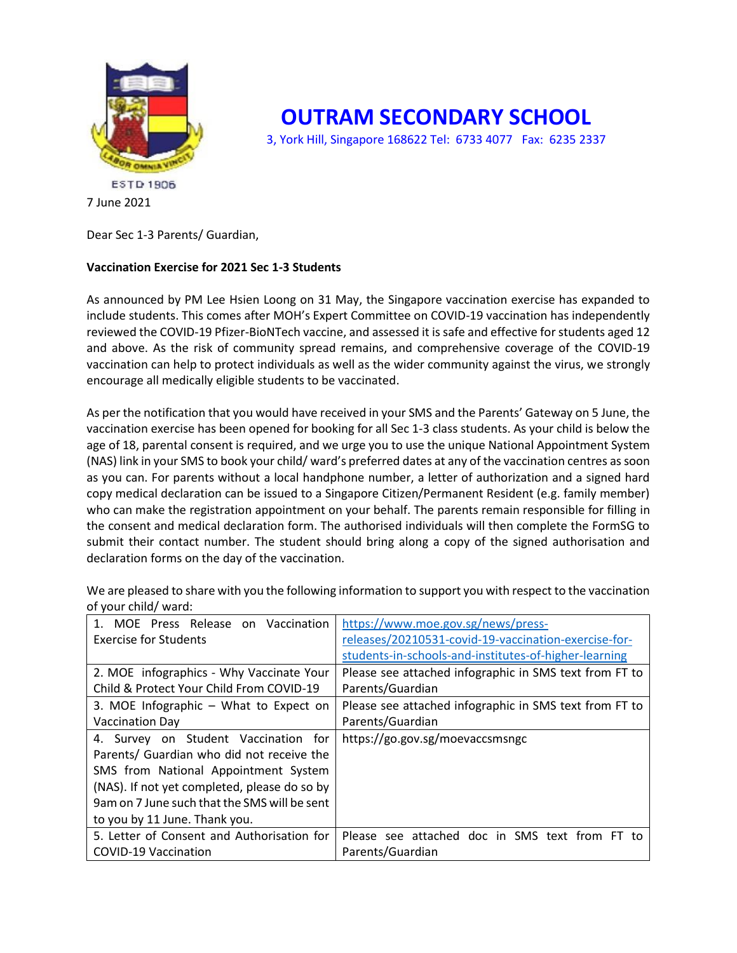

**OUTRAM SECONDARY SCHOOL**

3, York Hill, Singapore 168622 Tel: 6733 4077 Fax: 6235 2337

Dear Sec 1-3 Parents/ Guardian,

## **Vaccination Exercise for 2021 Sec 1-3 Students**

As announced by PM Lee Hsien Loong on 31 May, the Singapore vaccination exercise has expanded to include students. This comes after MOH's Expert Committee on COVID-19 vaccination has independently reviewed the COVID-19 Pfizer-BioNTech vaccine, and assessed it is safe and effective for students aged 12 and above. As the risk of community spread remains, and comprehensive coverage of the COVID-19 vaccination can help to protect individuals as well as the wider community against the virus, we strongly encourage all medically eligible students to be vaccinated.

As per the notification that you would have received in your SMS and the Parents' Gateway on 5 June, the vaccination exercise has been opened for booking for all Sec 1-3 class students. As your child is below the age of 18, parental consent is required, and we urge you to use the unique National Appointment System (NAS) link in your SMS to book your child/ ward's preferred dates at any of the vaccination centres as soon as you can. For parents without a local handphone number, a letter of authorization and a signed hard copy medical declaration can be issued to a Singapore Citizen/Permanent Resident (e.g. family member) who can make the registration appointment on your behalf. The parents remain responsible for filling in the consent and medical declaration form. The authorised individuals will then complete the FormSG to submit their contact number. The student should bring along a copy of the signed authorisation and declaration forms on the day of the vaccination.

| MOE Press Release on Vaccination             | https://www.moe.gov.sg/news/press-                     |
|----------------------------------------------|--------------------------------------------------------|
| <b>Exercise for Students</b>                 | releases/20210531-covid-19-vaccination-exercise-for-   |
|                                              | students-in-schools-and-institutes-of-higher-learning  |
| 2. MOE infographics - Why Vaccinate Your     | Please see attached infographic in SMS text from FT to |
| Child & Protect Your Child From COVID-19     | Parents/Guardian                                       |
| 3. MOE Infographic – What to Expect on       | Please see attached infographic in SMS text from FT to |
| <b>Vaccination Day</b>                       | Parents/Guardian                                       |
| 4. Survey on Student Vaccination for         | https://go.gov.sg/moevaccsmsngc                        |
| Parents/ Guardian who did not receive the    |                                                        |
| SMS from National Appointment System         |                                                        |
| (NAS). If not yet completed, please do so by |                                                        |
| 9am on 7 June such that the SMS will be sent |                                                        |
| to you by 11 June. Thank you.                |                                                        |
| 5. Letter of Consent and Authorisation for   | Please see attached doc in SMS text from FT to         |
| <b>COVID-19 Vaccination</b>                  | Parents/Guardian                                       |

We are pleased to share with you the following information to support you with respect to the vaccination of your child/ ward:

<sup>7</sup> June 2021